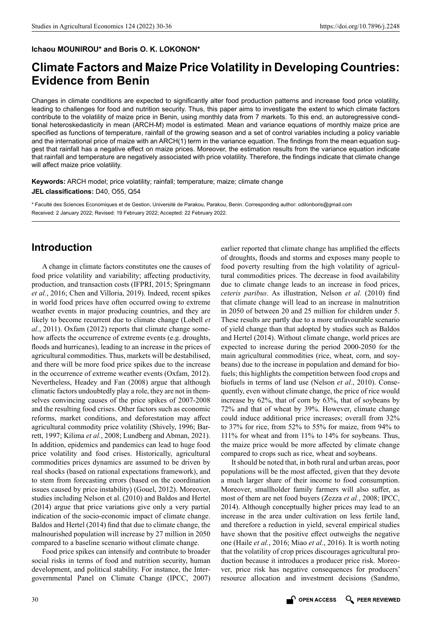#### **Ichaou MOUNIROU\* and Boris O. K. LOKONON\***

# **Climate Factors and Maize Price Volatility in Developing Countries: Evidence from Benin**

Changes in climate conditions are expected to significantly alter food production patterns and increase food price volatility, leading to challenges for food and nutrition security. Thus, this paper aims to investigate the extent to which climate factors contribute to the volatility of maize price in Benin, using monthly data from 7 markets. To this end, an autoregressive conditional heteroskedasticity in mean (ARCH-M) model is estimated. Mean and variance equations of monthly maize price are specified as functions of temperature, rainfall of the growing season and a set of control variables including a policy variable and the international price of maize with an ARCH(1) term in the variance equation. The findings from the mean equation suggest that rainfall has a negative effect on maize prices. Moreover, the estimation results from the variance equation indicate that rainfall and temperature are negatively associated with price volatility. Therefore, the findings indicate that climate change will affect maize price volatility.

**Keywords:** ARCH model; price volatility; rainfall; temperature; maize; climate change **JEL classifications:** D40, O55, Q54

\* Faculté des Sciences Economiques et de Gestion, Université de Parakou, Parakou, Benin. Corresponding author: [odilonboris@gmail.com](mailto:odilonboris@gmail.com) Received: 2 January 2022; Revised: 19 February 2022; Accepted: 22 February 2022.

# **Introduction**

A change in climate factors constitutes one the causes of food price volatility and variability; affecting productivity, production, and transaction costs (IFPRI, 2015; Springmann *et al.*, 2016; Chen and Villoria, 2019). Indeed, recent spikes in world food prices have often occurred owing to extreme weather events in major producing countries, and they are likely to become recurrent due to climate change (Lobell *et al.*, 2011). Oxfam (2012) reports that climate change somehow affects the occurrence of extreme events (e.g. droughts, floods and hurricanes), leading to an increase in the prices of agricultural commodities. Thus, markets will be destabilised, and there will be more food price spikes due to the increase in the occurrence of extreme weather events (Oxfam, 2012). Nevertheless, Headey and Fan (2008) argue that although climatic factors undoubtedly play a role, they are not in themselves convincing causes of the price spikes of 2007-2008 and the resulting food crises. Other factors such as economic reforms, market conditions, and deforestation may affect agricultural commodity price volatility (Shively, 1996; Barrett, 1997; Kilima *et al.*, 2008; Lundberg and Abman, 2021). In addition, epidemics and pandemics can lead to huge food price volatility and food crises. Historically, agricultural commodities prices dynamics are assumed to be driven by real shocks (based on rational expectations framework), and to stem from forecasting errors (based on the coordination issues caused by price instability) (Gouel, 2012). Moreover, studies including Nelson et al. (2010) and Baldos and Hertel (2014) argue that price variations give only a very partial indication of the socio-economic impact of climate change. Baldos and Hertel (2014) find that due to climate change, the malnourished population will increase by 27 million in 2050 compared to a baseline scenario without climate change.

Food price spikes can intensify and contribute to broader social risks in terms of food and nutrition security, human development, and political stability. For instance, the Intergovernmental Panel on Climate Change (IPCC, 2007)

earlier reported that climate change has amplified the effects of droughts, floods and storms and exposes many people to food poverty resulting from the high volatility of agricultural commodities prices. The decrease in food availability due to climate change leads to an increase in food prices, *ceteris paribus*. As illustration, Nelson *et al.* (2010) find that climate change will lead to an increase in malnutrition in 2050 of between 20 and 25 million for children under 5. These results are partly due to a more unfavourable scenario of yield change than that adopted by studies such as Baldos and Hertel (2014). Without climate change, world prices are expected to increase during the period 2000-2050 for the main agricultural commodities (rice, wheat, corn, and soybeans) due to the increase in population and demand for biofuels; this highlights the competition between food crops and biofuels in terms of land use (Nelson *et al.*, 2010). Consequently, even without climate change, the price of rice would increase by 62%, that of corn by 63%, that of soybeans by 72% and that of wheat by 39%. However, climate change could induce additional price increases; overall from 32% to 37% for rice, from 52% to 55% for maize, from 94% to 111% for wheat and from 11% to 14% for soybeans. Thus, the maize price would be more affected by climate change compared to crops such as rice, wheat and soybeans.

It should be noted that, in both rural and urban areas, poor populations will be the most affected, given that they devote a much larger share of their income to food consumption. Moreover, smallholder family farmers will also suffer, as most of them are net food buyers (Zezza *et al.*, 2008; IPCC, 2014). Although conceptually higher prices may lead to an increase in the area under cultivation on less fertile land, and therefore a reduction in yield, several empirical studies have shown that the positive effect outweighs the negative one (Haile *et al.*, 2016; Miao *et al.*, 2016). It is worth noting that the volatility of crop prices discourages agricultural production because it introduces a producer price risk. Moreover, price risk has negative consequences for producers' resource allocation and investment decisions (Sandmo,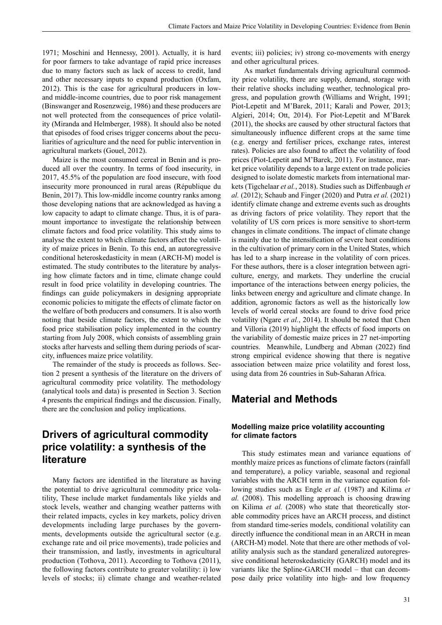1971; Moschini and Hennessy, 2001). Actually, it is hard for poor farmers to take advantage of rapid price increases due to many factors such as lack of access to credit, land and other necessary inputs to expand production (Oxfam, 2012). This is the case for agricultural producers in lowand middle-income countries, due to poor risk management (Binswanger and Rosenzweig, 1986) and these producers are not well protected from the consequences of price volatility (Miranda and Helmberger, 1988). It should also be noted that episodes of food crises trigger concerns about the peculiarities of agriculture and the need for public intervention in agricultural markets (Gouel, 2012).

Maize is the most consumed cereal in Benin and is produced all over the country. In terms of food insecurity, in 2017, 45.5% of the population are food insecure, with food insecurity more pronounced in rural areas (République du Benin, 2017). This low-middle income country ranks among those developing nations that are acknowledged as having a low capacity to adapt to climate change. Thus, it is of paramount importance to investigate the relationship between climate factors and food price volatility. This study aims to analyse the extent to which climate factors affect the volatility of maize prices in Benin. To this end, an autoregressive conditional heteroskedasticity in mean (ARCH-M) model is estimated. The study contributes to the literature by analysing how climate factors and in time, climate change could result in food price volatility in developing countries. The findings can guide policymakers in designing appropriate economic policies to mitigate the effects of climate factor on the welfare of both producers and consumers. It is also worth noting that beside climate factors, the extent to which the food price stabilisation policy implemented in the country starting from July 2008, which consists of assembling grain stocks after harvests and selling them during periods of scarcity, influences maize price volatility.

The remainder of the study is proceeds as follows. Section 2 present a synthesis of the literature on the drivers of agricultural commodity price volatility. The methodology (analytical tools and data) is presented in Section 3. Section 4 presents the empirical findings and the discussion. Finally, there are the conclusion and policy implications.

# **Drivers of agricultural commodity price volatility: a synthesis of the literature**

Many factors are identified in the literature as having the potential to drive agricultural commodity price volatility, These include market fundamentals like yields and stock levels, weather and changing weather patterns with their related impacts, cycles in key markets, policy driven developments including large purchases by the governments, developments outside the agricultural sector (e.g. exchange rate and oil price movements), trade policies and their transmission, and lastly, investments in agricultural production (Tothova, 2011). According to Tothova (2011), the following factors contribute to greater volatility: i) low levels of stocks; ii) climate change and weather-related events; iii) policies; iv) strong co-movements with energy and other agricultural prices.

 As market fundamentals driving agricultural commodity price volatility, there are supply, demand, storage with their relative shocks including weather, technological progress, and population growth (Williams and Wright, 1991; Piot-Lepetit and M'Barek, 2011; Karali and Power, 2013; Algieri, 2014; Ott, 2014). For Piot-Lepetit and M'Barek (2011), the shocks are caused by other structural factors that simultaneously influence different crops at the same time (e.g. energy and fertiliser prices, exchange rates, interest rates). Policies are also found to affect the volatility of food prices (Piot-Lepetit and M'Barek, 2011). For instance, market price volatility depends to a large extent on trade policies designed to isolate domestic markets from international markets (Tigchelaar *et al.*, 2018). Studies such as Diffenbaugh *et al.* (2012); Schaub and Finger (2020) and Putra *et al.* (2021) identify climate change and extreme events such as droughts as driving factors of price volatility. They report that the volatility of US corn prices is more sensitive to short-term changes in climate conditions. The impact of climate change is mainly due to the intensification of severe heat conditions in the cultivation of primary corn in the United States, which has led to a sharp increase in the volatility of corn prices. For these authors, there is a closer integration between agriculture, energy, and markets. They underline the crucial importance of the interactions between energy policies, the links between energy and agriculture and climate change. In addition, agronomic factors as well as the historically low levels of world cereal stocks are found to drive food price volatility (Ngare *et al.*, 2014). It should be noted that Chen and Villoria (2019) highlight the effects of food imports on the variability of domestic maize prices in 27 net-importing countries. Meanwhile, Lundberg and Abman (2022) find strong empirical evidence showing that there is negative association between maize price volatility and forest loss, using data from 26 countries in Sub-Saharan Africa.

### **Material and Methods**

#### **Modelling maize price volatility accounting for climate factors**

This study estimates mean and variance equations of monthly maize prices as functions of climate factors (rainfall and temperature), a policy variable, seasonal and regional variables with the ARCH term in the variance equation following studies such as Engle *et al.* (1987) and Kilima *et al.* (2008). This modelling approach is choosing drawing on Kilima *et al.* (2008) who state that theoretically storable commodity prices have an ARCH process, and distinct from standard time-series models, conditional volatility can directly influence the conditional mean in an ARCH in mean (ARCH-M) model. Note that there are other methods of volatility analysis such as the standard generalized autoregressive conditional heteroskedasticity (GARCH) model and its variants like the Spline-GARCH model – that can decompose daily price volatility into high- and low frequency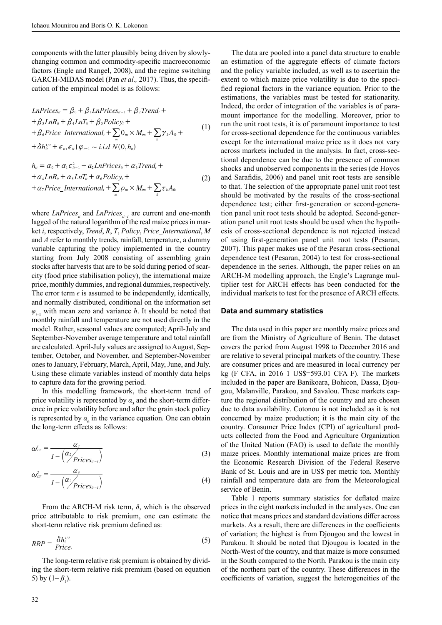components with the latter plausibly being driven by slowlychanging common and commodity-specific macroeconomic factors (Engle and Rangel, 2008), and the regime switching GARCH-MIDAS model (Pan *et al.,* 2017). Thus, the specification of the empirical model is as follows:

$$
LnPricesii = \beta_0 + \beta_1 LnPricesii-1 + \beta_2 Trendi ++ \beta_3 LnRii + \beta_4 LnTi + \beta_5 Policyi ++ \beta_6 Price_Internationali + \sum_m 0_m \times Mim + \sum_k \gamma_k A_{ik} ++ \delta hi1/2 + \epsilon_{ii}, \epsilon_{ii} | \varphi_{i-1} \sim i.i.d N(0, hii)
$$
\n(1)

$$
h_{ii} = \alpha_0 + \alpha_1 \epsilon_{ii-1}^2 + a_2 LnPrices_{ii} + \alpha_3 Trend_i ++ \alpha_4 LnR_{ii} + \alpha_5 LnT_{ii} + \alpha_6 Policy_i ++ \alpha_7 Price_International_i + \sum_m \rho_m \times M_{im} + \sum_k \tau_k A_{ik}
$$
 (2)

where  $LnPrices_{it}$  and  $LnPrices_{it-1}$  are current and one-month lagged of the natural logarithm of the real maize prices in market *i*, respectively, *Trend*, *R*, *T*, *Policy*, *Price\_International*, *M* and *A* refer to monthly trends, rainfall, temperature, a dummy variable capturing the policy implemented in the country starting from July 2008 consisting of assembling grain stocks after harvests that are to be sold during period of scarcity (food price stabilisation policy), the international maize price, monthly dummies, and regional dummies, respectively. The error term  $\epsilon$  is assumed to be independently, identically, and normally distributed, conditional on the information set  $\varphi_{t-1}$  with mean zero and variance *h*. It should be noted that monthly rainfall and temperature are not used directly in the model. Rather, seasonal values are computed; April-July and September-November average temperature and total rainfall are calculated. April-July values are assigned to August, September, October, and November, and September-November ones to January, February, March, April, May, June, and July. Using these climate variables instead of monthly data helps to capture data for the growing period.

In this modelling framework, the short-term trend of price volatility is represented by  $\alpha_{3}$  and the short-term difference in price volatility before and after the grain stock policy is represented by  $\alpha_{\epsilon}$  in the variance equation. One can obtain the long-term effects as follows:

$$
\omega_{LT}^{\prime} = \frac{\alpha_3}{1 - \left(\frac{\alpha_2}{\text{Prices}_{it-1}}\right)}
$$
(3)

$$
\omega_{LT}^2 = \frac{\alpha_6}{1 - \left(\frac{\alpha_2}{\rho_{\text{rices}_{it-1}}}\right)}
$$
(4)

price attribut *h From the ARCH-M risk term,*  $\delta$ *, which is the observed t t t t t t t t t <i>t***</del>
<b>***<i>t <i>t***<b>***<i>t <i>t <i>t <i>t <i>t <i>t <i>t <i>t <i>t <i>t <i>t <i>t <i>t <i>t <i>t <i>t <i>t <i>t <i>t* short-term relative risk premium defined as:

$$
RRP = \frac{\delta h_i^{1/2}}{Price_t}
$$
 (5)

The long-term relative risk premium is obtained by dividing the short-term relative risk premium (based on equation 5) by  $(1 - \beta_1)$ .

an estimation of the aggregate effects of climate factors and the policy variable included, as well as to ascertain the extent to which maize price volatility is due to the specified regional factors in the variance equation. Prior to the estimations, the variables must be tested for stationarity. Indeed, the order of integration of the variables is of paramount importance for the modelling. Moreover, prior to run the unit root tests, it is of paramount importance to test for cross-sectional dependence for the continuous variables except for the international maize price as it does not vary across markets included in the analysis. In fact, cross-sectional dependence can be due to the presence of common shocks and unobserved components in the series (de Hoyos and Sarafidis, 2006) and panel unit root tests are sensible to that. The selection of the appropriate panel unit root test should be motivated by the results of the cross-sectional dependence test; either first-generation or second-generation panel unit root tests should be adopted. Second-generation panel unit root tests should be used when the hypothesis of cross-sectional dependence is not rejected instead of using first-generation panel unit root tests (Pesaran, 2007). This paper makes use of the Pesaran cross-sectional dependence test (Pesaran, 2004) to test for cross-sectional dependence in the series. Although, the paper relies on an ARCH-M modelling approach, the Engle's Lagrange multiplier test for ARCH effects has been conducted for the individual markets to test for the presence of ARCH effects.

The data are pooled into a panel data structure to enable

#### **Data and summary statistics**

The data used in this paper are monthly maize prices and are from the Ministry of Agriculture of Benin. The dataset covers the period from August 1998 to December 2016 and are relative to several principal markets of the country. These are consumer prices and are measured in local currency per kg (F CFA, in 2016 1 US\$=593.01 CFA F). The markets included in the paper are Banikoara, Bohicon, Dassa, Djougou, Malanville, Parakou, and Savalou. These markets capture the regional distribution of the country and are chosen due to data availability. Cotonou is not included as it is not concerned by maize production; it is the main city of the country. Consumer Price Index (CPI) of agricultural products collected from the Food and Agriculture Organization of the United Nation (FAO) is used to deflate the monthly maize prices. Monthly international maize prices are from the Economic Research Division of the Federal Reserve Bank of St. Louis and are in US\$ per metric ton. Monthly rainfall and temperature data are from the Meteorological service of Benin.

Table 1 reports summary statistics for deflated maize prices in the eight markets included in the analyses. One can notice that means prices and standard deviations differ across markets. As a result, there are differences in the coefficients of variation; the highest is from Djougou and the lowest in Parakou. It should be noted that Djougou is located in the North-West of the country, and that maize is more consumed in the South compared to the North. Parakou is the main city of the northern part of the country. These differences in the coefficients of variation, suggest the heterogeneities of the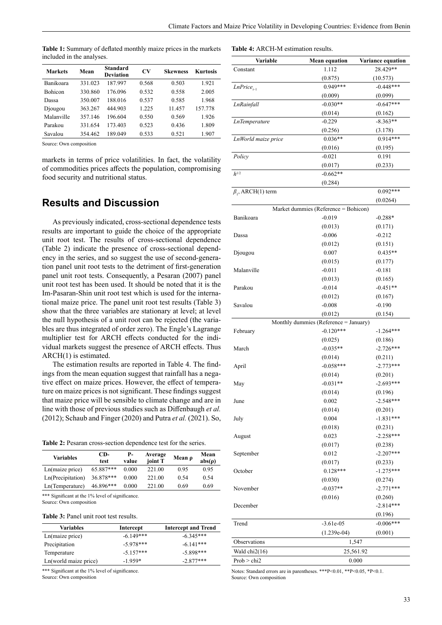**Table 4:** ARCH-M estimation results.

| Mean    | <b>Standard</b><br><b>Deviation</b> | CV    | <b>Skewness</b> | <b>Kurtosis</b> |
|---------|-------------------------------------|-------|-----------------|-----------------|
| 331.023 | 187.997                             | 0.568 | 0.503           | 1.921           |
| 330.860 | 176.096                             | 0.532 | 0.558           | 2.005           |
| 350,007 | 188.016                             | 0.537 | 0.585           | 1.968           |
| 363.267 | 444.903                             | 1.225 | 11.457          | 157.778         |
| 357.146 | 196.604                             | 0.550 | 0.569           | 1.926           |
| 331.654 | 173.403                             | 0.523 | 0.436           | 1.809           |
| 354.462 | 189.049                             | 0.533 | 0.521           | 1.907           |
|         |                                     |       |                 |                 |

**Table 1:** Summary of deflated monthly maize prices in the markets included in the analyses.

Source: Own composition

markets in terms of price volatilities. In fact, the volatility of commodities prices affects the population, compromising food security and nutritional status.

### **Results and Discussion**

As previously indicated, cross-sectional dependence tests results are important to guide the choice of the appropriate unit root test. The results of cross-sectional dependence (Table 2) indicate the presence of cross-sectional dependency in the series, and so suggest the use of second-generation panel unit root tests to the detriment of first-generation panel unit root tests. Consequently, a Pesaran (2007) panel unit root test has been used. It should be noted that it is the Im-Pasaran-Shin unit root test which is used for the international maize price. The panel unit root test results (Table 3) show that the three variables are stationary at level; at level the null hypothesis of a unit root can be rejected (the variables are thus integrated of order zero). The Engle's Lagrange multiplier test for ARCH effects conducted for the individual markets suggest the presence of ARCH effects. Thus ARCH(1) is estimated.

The estimation results are reported in Table 4. The findings from the mean equation suggest that rainfall has a negative effect on maize prices. However, the effect of temperature on maize prices is not significant. These findings suggest that maize price will be sensible to climate change and are in line with those of previous studies such as Diffenbaugh *et al.* (2012); Schaub and Finger (2020) and Putra *et al.* (2021). So,

**Table 2:** Pesaran cross-section dependence test for the series.

| Variables         | $CD-$<br>test | <b>P</b> -<br>value | Average<br>joint T | Mean $\rho$ | Mean<br>$abs(\rho)$ |
|-------------------|---------------|---------------------|--------------------|-------------|---------------------|
| Ln(maize price)   | $65.887***$   | 0.000               | 221.00             | 0.95        | 0.95                |
| Ln(Precipitation) | 36.878***     | 0.000               | 221.00             | 0.54        | 0.54                |
| Ln(Temperature)   | 46.896***     | 0.000               | 221.00             | 0.69        | 0.69                |
|                   |               |                     |                    |             |                     |

\*\*\* Significant at the 1% level of significance. Source: Own composition

#### **Table 3:** Panel unit root test results.

| Intercept   | <b>Intercept and Trend</b> |
|-------------|----------------------------|
| $-6.149***$ | $-6.345***$                |
| $-5.978***$ | $-6.141***$                |
| $-5.157***$ | $-5.898***$                |
| $-1.959*$   | $-2.877***$                |
|             |                            |

\*\*\* Significant at the 1% level of significance. Source: Own composition

| Variable                 | <b>Mean equation</b>                  | Variance equation |  |  |
|--------------------------|---------------------------------------|-------------------|--|--|
| Constant                 | 1.112                                 | 28.429**          |  |  |
|                          | (0.875)                               | (10.573)          |  |  |
| $LnPrice_{t-1}$          | $0.949***$                            | $-0.448***$       |  |  |
|                          | (0.009)                               | (0.099)           |  |  |
| LnRainfall               | $-0.030**$                            | $-0.647***$       |  |  |
|                          | (0.014)                               | (0.162)           |  |  |
| <b>LnTemperature</b>     | $-0.229$                              | $-8.363**$        |  |  |
|                          | (0.256)                               | (3.178)           |  |  |
| LnWorld maize price      | $0.036**$                             | $0.914***$        |  |  |
|                          | (0.016)                               | (0.195)           |  |  |
| Policy                   | $-0.021$                              | 0.191             |  |  |
|                          | (0.017)                               | (0.233)           |  |  |
| $h^{1/2}$                | $-0.662**$                            |                   |  |  |
|                          | (0.284)                               |                   |  |  |
| $\beta_1$ , ARCH(1) term |                                       | $0.092***$        |  |  |
|                          |                                       | (0.0264)          |  |  |
|                          | Market dummies (Reference = Bohicon)  |                   |  |  |
| Banikoara                | $-0.019$                              | $-0.288*$         |  |  |
|                          | (0.013)                               | (0.171)           |  |  |
| Dassa                    | $-0.006$                              | $-0.212$          |  |  |
|                          | (0.012)                               | (0.151)           |  |  |
| Djougou                  | 0.007                                 | $0.435**$         |  |  |
|                          | (0.015)                               | (0.177)           |  |  |
| Malanville               | $-0.011$                              | $-0.181$          |  |  |
|                          | (0.013)                               | (0.165)           |  |  |
| Parakou                  | $-0.014$                              | $-0.451**$        |  |  |
|                          | (0.012)                               | (0.167)           |  |  |
| Savalou                  | $-0.008$                              | $-0.190$          |  |  |
|                          | (0.012)                               | (0.154)           |  |  |
|                          | Monthly dummies (Reference = January) |                   |  |  |
| February                 | $-0.120***$                           | $-1.264***$       |  |  |
|                          | (0.025)                               | (0.186)           |  |  |
| March                    | $-0.035**$                            | $-2.726***$       |  |  |
|                          | (0.014)                               | (0.211)           |  |  |
| April                    | $-0.058***$                           | $-2.773***$       |  |  |
|                          | (0.014)                               | (0.201)           |  |  |
| May                      | $-0.031**$                            | $-2.693***$       |  |  |
|                          | (0.014)                               | (0.196)           |  |  |
| June                     | 0.002                                 | $-2.548***$       |  |  |
|                          | (0.014)                               | (0.201)           |  |  |
| July                     | 0.004                                 | $-1.831***$       |  |  |
|                          | (0.018)                               | (0.231)           |  |  |
| August                   | 0.023                                 | $-2.258***$       |  |  |
|                          | (0.017)                               | (0.238)           |  |  |
| September                | 0.012                                 | $-2.207***$       |  |  |
|                          | (0.017)                               | (0.233)           |  |  |
| October                  | $0.128***$                            | $-1.275***$       |  |  |
|                          | (0.030)                               | (0.274)           |  |  |
| November                 | $-0.037**$                            | $-2.771***$       |  |  |
|                          | (0.016)                               | (0.260)           |  |  |
| December                 |                                       | $-2.814***$       |  |  |
|                          |                                       | (0.196)           |  |  |
| Trend                    | $-3.61e-05$                           | $-0.006***$       |  |  |
|                          | $(1.239e-04)$                         | (0.001)           |  |  |
| Observations             | 1,547                                 |                   |  |  |
| Wald $chi2(16)$          | 25,561.92                             |                   |  |  |
| Prob > chi2              | 0.000                                 |                   |  |  |

Notes: Standard errors are in parentheses. \*\*\*P<0.01, \*\*P<0.05, \*P<0.1. Source: Own composition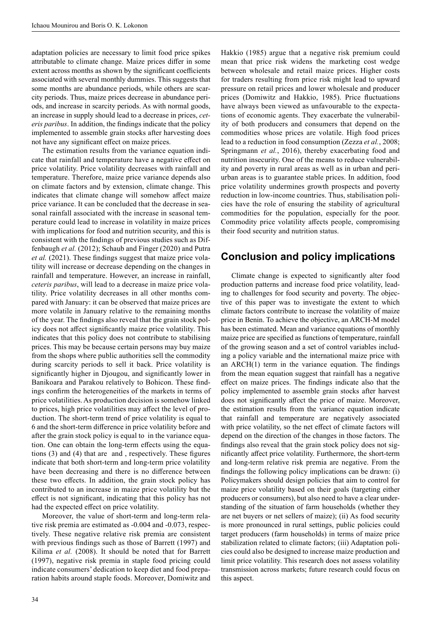adaptation policies are necessary to limit food price spikes attributable to climate change. Maize prices differ in some extent across months as shown by the significant coefficients associated with several monthly dummies. This suggests that some months are abundance periods, while others are scarcity periods. Thus, maize prices decrease in abundance periods, and increase in scarcity periods. As with normal goods, an increase in supply should lead to a decrease in prices, *ceteris paribus*. In addition, the findings indicate that the policy implemented to assemble grain stocks after harvesting does not have any significant effect on maize prices.

The estimation results from the variance equation indicate that rainfall and temperature have a negative effect on price volatility. Price volatility decreases with rainfall and temperature. Therefore, maize price variance depends also on climate factors and by extension, climate change. This indicates that climate change will somehow affect maize price variance. It can be concluded that the decrease in seasonal rainfall associated with the increase in seasonal temperature could lead to increase in volatility in maize prices with implications for food and nutrition security, and this is consistent with the findings of previous studies such as Diffenbaugh *et al.* (2012); Schaub and Finger (2020) and Putra *et al.* (2021). These findings suggest that maize price volatility will increase or decrease depending on the changes in rainfall and temperature. However, an increase in rainfall, *ceteris paribus*, will lead to a decrease in maize price volatility. Price volatility decreases in all other months compared with January: it can be observed that maize prices are more volatile in January relative to the remaining months of the year. The findings also reveal that the grain stock policy does not affect significantly maize price volatility. This indicates that this policy does not contribute to stabilising prices. This may be because certain persons may buy maize from the shops where public authorities sell the commodity during scarcity periods to sell it back. Price volatility is significantly higher in Djougou, and significantly lower in Banikoara and Parakou relatively to Bohicon. These findings confirm the heterogeneities of the markets in terms of price volatilities. As production decision is somehow linked to prices, high price volatilities may affect the level of production. The short-term trend of price volatility is equal to 6 and the short-term difference in price volatility before and after the grain stock policy is equal to in the variance equation. One can obtain the long-term effects using the equations (3) and (4) that are and , respectively. These figures indicate that both short-term and long-term price volatility have been decreasing and there is no difference between these two effects. In addition, the grain stock policy has contributed to an increase in maize price volatility but the effect is not significant, indicating that this policy has not had the expected effect on price volatility.

Moreover, the value of short-term and long-term relative risk premia are estimated as -0.004 and -0.073, respectively. These negative relative risk premia are consistent with previous findings such as those of Barrett (1997) and Kilima *et al.* (2008). It should be noted that for Barrett (1997), negative risk premia in staple food pricing could indicate consumers' dedication to keep diet and food preparation habits around staple foods. Moreover, Domiwitz and

Hakkio (1985) argue that a negative risk premium could mean that price risk widens the marketing cost wedge between wholesale and retail maize prices. Higher costs for traders resulting from price risk might lead to upward pressure on retail prices and lower wholesale and producer prices (Domiwitz and Hakkio, 1985). Price fluctuations have always been viewed as unfavourable to the expectations of economic agents. They exacerbate the vulnerability of both producers and consumers that depend on the commodities whose prices are volatile. High food prices lead to a reduction in food consumption (Zezza *et al.*, 2008; Springmann *et al.*, 2016), thereby exacerbating food and nutrition insecurity. One of the means to reduce vulnerability and poverty in rural areas as well as in urban and periurban areas is to guarantee stable prices. In addition, food price volatility undermines growth prospects and poverty reduction in low-income countries. Thus, stabilisation policies have the role of ensuring the stability of agricultural commodities for the population, especially for the poor. Commodity price volatility affects people, compromising their food security and nutrition status.

### **Conclusion and policy implications**

Climate change is expected to significantly alter food production patterns and increase food price volatility, leading to challenges for food security and poverty. The objective of this paper was to investigate the extent to which climate factors contribute to increase the volatility of maize price in Benin. To achieve the objective, an ARCH-M model has been estimated. Mean and variance equations of monthly maize price are specified as functions of temperature, rainfall of the growing season and a set of control variables including a policy variable and the international maize price with an ARCH(1) term in the variance equation. The findings from the mean equation suggest that rainfall has a negative effect on maize prices. The findings indicate also that the policy implemented to assemble grain stocks after harvest does not significantly affect the price of maize. Moreover, the estimation results from the variance equation indicate that rainfall and temperature are negatively associated with price volatility, so the net effect of climate factors will depend on the direction of the changes in those factors. The findings also reveal that the grain stock policy does not significantly affect price volatility. Furthermore, the short-term and long-term relative risk premia are negative. From the findings the following policy implications can be drawn: (i) Policymakers should design policies that aim to control for maize price volatility based on their goals (targeting either producers or consumers), but also need to have a clear understanding of the situation of farm households (whether they are net buyers or net sellers of maize); (ii) As food security is more pronounced in rural settings, public policies could target producers (farm households) in terms of maize price stabilization related to climate factors; (iii) Adaptation policies could also be designed to increase maize production and limit price volatility. This research does not assess volatility transmission across markets; future research could focus on this aspect.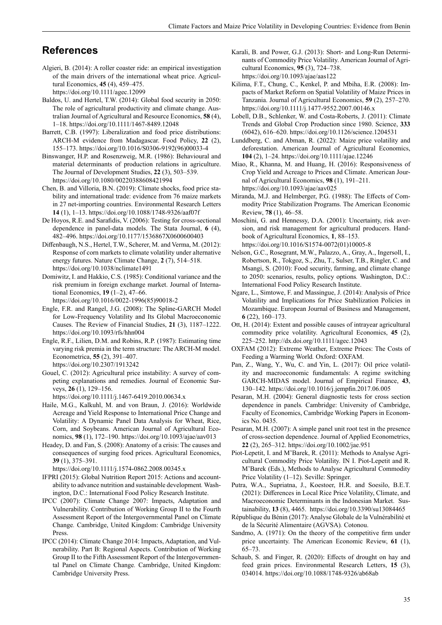## **References**

Algieri, B. (2014): A roller coaster ride: an empirical investigation of the main drivers of the international wheat price. Agricultural Economics, **45** (4), 459–475.

<https://doi.org/10.1111/agec.12099>

- Baldos, U. and Hertel, T.W. (2014): Global food security in 2050: The role of agricultural productivity and climate change. Australian Journal of Agricultural and Resource Economics, **58** (4), 1–18. <https://doi.org/10.1111/1467-8489.12048>
- Barrett, C.B. (1997): Liberalization and food price distributions: ARCH-M evidence from Madagascar. Food Policy, **22** (2), 155–173. [https://doi.org/10.1016/S0306-9192\(96\)00033-4](https://doi.org/10.1016/S0306-9192(96)00033-4)
- Binswanger, H.P. and Rosenzweig, M.R. (1986): Behavioural and material determinants of production relations in agriculture. The Journal of Development Studies, **22** (3), 503–539. <https://doi.org/10.1080/00220388608421994>
- Chen, B. and Villoria, B.N. (2019): Climate shocks, food price stability and international trade: evidence from 76 maize markets in 27 net-importing countries. Environmental Research Letters **14** (1), 1–13. <https://doi.org/10.1088/1748-9326/aaf07f>
- De Hoyos, R.E. and Sarafidis, V. (2006): Testing for cross-sectional dependence in panel-data models. The Stata Journal, **6** (4), 482–496. <https://doi.org/10.1177/1536867X0600600403>
- Diffenbaugh, N.S., Hertel, T.W., Scherer, M. and Verma, M. (2012): Response of corn markets to climate volatility under alternative energy futures. Nature Climate Change, **2** (7), 514–518. <https://doi.org/10.1038/nclimate1491>
- Domiwitz, I. and Hakkio, C.S. (1985): Conditional variance and the risk premium in foreign exchange market. Journal of International Economics, **19** (1–2), 47–66.
- [https://doi.org/10.1016/0022-1996\(85\)90018-2](https://doi.org/10.1016/0022-1996(85)90018-2)
- Engle, F.R. and Rangel, J.G. (2008): The Spline-GARCH Model for Low-Frequency Volatility and Its Global Macroeconomic Causes. The Review of Financial Studies, **21** (3), 1187–1222. <https://doi.org/10.1093/rfs/hhn004>
- Engle, R.F., Lilien, D.M. and Robins, R.P. (1987): Estimating time varying risk premia in the term structure: The ARCH-M model. Econometrica, **55** (2), 391–407. <https://doi.org/10.2307/1913242>
- Gouel, C. (2012): Agricultural price instability: A survey of competing explanations and remedies. Journal of Economic Surveys, **26** (1), 129–156.

<https://doi.org/10.1111/j.1467-6419.2010.00634.x>

- Haile, M.G., Kalkuhl, M. and von Braun, J. (2016): Worldwide Acreage and Yield Response to International Price Change and Volatility: A Dynamic Panel Data Analysis for Wheat, Rice, Corn, and Soybeans. American Journal of Agricultural Economics, **98** (1), 172–190. <https://doi.org/10.1093/ajae/aav013>
- Headey, D. and Fan, S. (2008): Anatomy of a crisis: The causes and consequences of surging food prices. Agricultural Economics, **39** (1), 375–391.

<https://doi.org/10.1111/j.1574-0862.2008.00345.x>

- IFPRI (2015): Global Nutrition Report 2015: Actions and accountability to advance nutrition and sustainable development*.* Washington, D.C.: International Food Policy Research Institute.
- IPCC (2007): Climate Change 2007: Impacts, Adaptation and Vulnerability. Contribution of Working Group II to the Fourth Assessment Report of the Intergovernmental Panel on Climate Change*.* Cambridge, United Kingdom: Cambridge University Press.
- IPCC (2014): Climate Change 2014: Impacts, Adaptation, and Vulnerability. Part B: Regional Aspects. Contribution of Working Group II to the Fifth Assessment Report of the Intergovernmental Panel on Climate Change*.* Cambridge, United Kingdom: Cambridge University Press.
- Karali, B. and Power, G.J. (2013): Short- and Long-Run Determinants of Commodity Price Volatility. American Journal of Agricultural Economics, **95** (3), 724–738. <https://doi.org/10.1093/ajae/aas122>
- Kilima, F.T., Chung, C., Kenkel, P. and Mbiha, E.R. (2008): Impacts of Market Reform on Spatial Volatility of Maize Prices in Tanzania. Journal of Agricultural Economics, **59** (2), 257–270. <https://doi.org/10.1111/j.1477-9552.2007.00146.x>
- Lobell, D.B., Schlenker, W. and Costa-Roberts, J. (2011): Climate Trends and Global Crop Production since 1980. Science, **333**  (6042), 616–620.<https://doi.org/10.1126/science.1204531>
- Lunddberg, C. and Abman, R. (2022): Maize price volatility and deforestation. American Journal of Agricultural Economics, **104** (2), 1–24. <https://doi.org/10.1111/ajae.12246>
- Miao, R., Khanna, M. and Huang, H. (2016): Responsiveness of Crop Yield and Acreage to Prices and Climate. American Journal of Agricultural Economics, **98** (1), 191–211. <https://doi.org/10.1093/ajae/aav025>
- Miranda, M.J. and Helmberger, P.G. (1988): The Effects of Commodity Price Stabilization Programs. The American Economic Review, **78** (1), 46–58.
- Moschini, G. and Hennessy, D.A. (2001): Uncertainty, risk aversion, and risk management for agricultural producers. Handbook of Agricultural Economics, **1**, 88–153. [https://doi.org/10.1016/S1574-0072\(01\)10005-8](https://doi.org/10.1016/S1574-0072(01)10005-8)
- Nelson, G.C., Rosegrant, M.W., Palazzo, A., Gray, A., Ingersoll, I., Robertson, R., Tokgoz, S., Zhu, T., Sulser, T.B., Ringler, C. and Msangi, S. (2010): Food security, farming, and climate change to 2050: scenarios, results, policy options*.* Washington, D.C.: International Food Policy Research Institute.
- Ngare, L., Simtowe, F. and Massingue, J. (2014): Analysis of Price Volatility and Implications for Price Stabilization Policies in Mozambique. European Journal of Business and Management, **6** (22), 160–173.
- Ott, H. (2014): Extent and possible causes of intrayear agricultural commodity price volatility. Agricultural Economics, **45** (2), 225–252. <http://dx.doi.org/10.1111/agec.12043>
- OXFAM (2012): Extreme Weather, Extreme Prices: The Costs of Feeding a Warming World*.* Oxford: OXFAM.
- Pan, Z., Wang, Y., Wu, C. and Yin, L. (2017): Oil price volatility and macroeconomic fundamentals: A regime switching GARCH-MIDAS model. Journal of Empirical Finance, **43**, 130–142.<https://doi.org/10.1016/j.jempfin.2017.06.005>
- Pesaran, M.H. (2004): General diagnostic tests for cross section dependence in panels*.* Cambridge: University of Cambridge, Faculty of Economics, Cambridge Working Papers in Economics No. 0435.
- Pesaran, M.H. (2007): A simple panel unit root test in the presence of cross-section dependence. Journal of Applied Econometrics, **22** (2), 265–312.<https://doi.org/10.1002/jae.951>
- Piot-Lepetit, I. and M'Barek, R. (2011): Methods to Analyse Agricultural Commodity Price Volatility. IN I. Piot-Lepetit and R. M'Barek (Eds.), Methods to Analyse Agricultural Commodity Price Volatility (1–12). Seville: Springer.
- Putra, W.A., Supriatna, J., Koestoer, H.R. and Soesilo, B.E.T. (2021): Differences in Local Rice Price Volatility, Climate, and Macroeconomic Determinants in the Indonesian Market. Sustainability, **13** (8), 4465. https://doi.org/10.3390/su13084465
- République du Bénin (2017): Analyse Globale de la Vulnérabilité et de la Sécurité Alimentaire (AGVSA)*.* Cotonou.
- Sandmo, A. (1971): On the theory of the competitive firm under price uncertainty. The American Economic Review, **61** (1), 65–73.
- Schaub, S. and Finger, R. (2020): Effects of drought on hay and feed grain prices. Environmental Research Letters, **15** (3), 034014.<https://doi.org/10.1088/1748-9326/ab68ab>